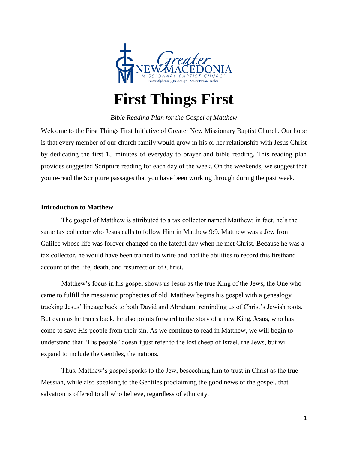

# **First Things First**

## *Bible Reading Plan for the Gospel of Matthew*

Welcome to the First Things First Initiative of Greater New Missionary Baptist Church. Our hope is that every member of our church family would grow in his or her relationship with Jesus Christ by dedicating the first 15 minutes of everyday to prayer and bible reading. This reading plan provides suggested Scripture reading for each day of the week. On the weekends, we suggest that you re-read the Scripture passages that you have been working through during the past week.

## **Introduction to Matthew**

The gospel of Matthew is attributed to a tax collector named Matthew; in fact, he's the same tax collector who Jesus calls to follow Him in Matthew 9:9. Matthew was a Jew from Galilee whose life was forever changed on the fateful day when he met Christ. Because he was a tax collector, he would have been trained to write and had the abilities to record this firsthand account of the life, death, and resurrection of Christ.

Matthew's focus in his gospel shows us Jesus as the true King of the Jews, the One who came to fulfill the messianic prophecies of old. Matthew begins his gospel with a genealogy tracking Jesus' lineage back to both David and Abraham, reminding us of Christ's Jewish roots. But even as he traces back, he also points forward to the story of a new King, Jesus, who has come to save His people from their sin. As we continue to read in Matthew, we will begin to understand that "His people" doesn't just refer to the lost sheep of Israel, the Jews, but will expand to include the Gentiles, the nations.

Thus, Matthew's gospel speaks to the Jew, beseeching him to trust in Christ as the true Messiah, while also speaking to the Gentiles proclaiming the good news of the gospel, that salvation is offered to all who believe, regardless of ethnicity.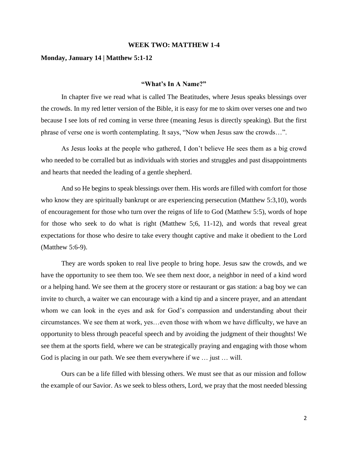#### **WEEK TWO: MATTHEW 1-4**

## **Monday, January 14 | Matthew 5:1-12**

#### **"What's In A Name?"**

In chapter five we read what is called The Beatitudes, where Jesus speaks blessings over the crowds. In my red letter version of the Bible, it is easy for me to skim over verses one and two because I see lots of red coming in verse three (meaning Jesus is directly speaking). But the first phrase of verse one is worth contemplating. It says, "Now when Jesus saw the crowds…".

As Jesus looks at the people who gathered, I don't believe He sees them as a big crowd who needed to be corralled but as individuals with stories and struggles and past disappointments and hearts that needed the leading of a gentle shepherd.

And so He begins to speak blessings over them. His words are filled with comfort for those who know they are spiritually bankrupt or are experiencing persecution (Matthew 5:3,10), words of encouragement for those who turn over the reigns of life to God (Matthew 5:5), words of hope for those who seek to do what is right (Matthew 5;6, 11-12), and words that reveal great expectations for those who desire to take every thought captive and make it obedient to the Lord (Matthew 5:6-9).

They are words spoken to real live people to bring hope. Jesus saw the crowds, and we have the opportunity to see them too. We see them next door, a neighbor in need of a kind word or a helping hand. We see them at the grocery store or restaurant or gas station: a bag boy we can invite to church, a waiter we can encourage with a kind tip and a sincere prayer, and an attendant whom we can look in the eyes and ask for God's compassion and understanding about their circumstances. We see them at work, yes…even those with whom we have difficulty, we have an opportunity to bless through peaceful speech and by avoiding the judgment of their thoughts! We see them at the sports field, where we can be strategically praying and engaging with those whom God is placing in our path. We see them everywhere if we … just … will.

Ours can be a life filled with blessing others. We must see that as our mission and follow the example of our Savior. As we seek to bless others, Lord, we pray that the most needed blessing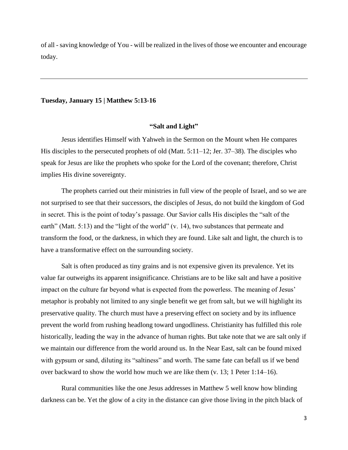of all - saving knowledge of You - will be realized in the lives of those we encounter and encourage today.

#### **Tuesday, January 15 | Matthew 5:13-16**

#### **"Salt and Light"**

Jesus identifies Himself with Yahweh in the Sermon on the Mount when He compares His disciples to the persecuted prophets of old (Matt. 5:11–12; Jer. 37–38). The disciples who speak for Jesus are like the prophets who spoke for the Lord of the covenant; therefore, Christ implies His divine sovereignty.

The prophets carried out their ministries in full view of the people of Israel, and so we are not surprised to see that their successors, the disciples of Jesus, do not build the kingdom of God in secret. This is the point of today's passage. Our Savior calls His disciples the "salt of the earth" (Matt. 5:13) and the "light of the world" (v. 14), two substances that permeate and transform the food, or the darkness, in which they are found. Like salt and light, the church is to have a transformative effect on the surrounding society.

Salt is often produced as tiny grains and is not expensive given its prevalence. Yet its value far outweighs its apparent insignificance. Christians are to be like salt and have a positive impact on the culture far beyond what is expected from the powerless. The meaning of Jesus' metaphor is probably not limited to any single benefit we get from salt, but we will highlight its preservative quality. The church must have a preserving effect on society and by its influence prevent the world from rushing headlong toward ungodliness. Christianity has fulfilled this role historically, leading the way in the advance of human rights. But take note that we are salt only if we maintain our difference from the world around us. In the Near East, salt can be found mixed with gypsum or sand, diluting its "saltiness" and worth. The same fate can befall us if we bend over backward to show the world how much we are like them (v. 13; 1 Peter 1:14–16).

Rural communities like the one Jesus addresses in Matthew 5 well know how blinding darkness can be. Yet the glow of a city in the distance can give those living in the pitch black of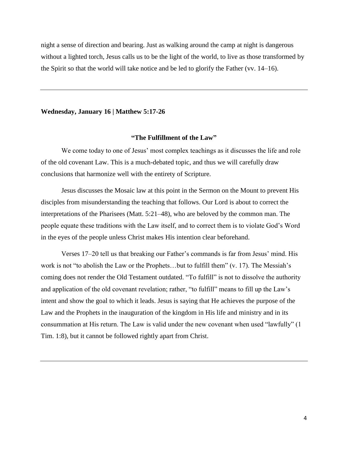night a sense of direction and bearing. Just as walking around the camp at night is dangerous without a lighted torch, Jesus calls us to be the light of the world, to live as those transformed by the Spirit so that the world will take notice and be led to glorify the Father (vv. 14–16).

#### **Wednesday, January 16 | Matthew 5:17-26**

## **"The Fulfillment of the Law"**

We come today to one of Jesus' most complex teachings as it discusses the life and role of the old covenant Law. This is a much-debated topic, and thus we will carefully draw conclusions that harmonize well with the entirety of Scripture.

Jesus discusses the Mosaic law at this point in the Sermon on the Mount to prevent His disciples from misunderstanding the teaching that follows. Our Lord is about to correct the interpretations of the Pharisees (Matt. 5:21–48), who are beloved by the common man. The people equate these traditions with the Law itself, and to correct them is to violate God's Word in the eyes of the people unless Christ makes His intention clear beforehand.

Verses 17–20 tell us that breaking our Father's commands is far from Jesus' mind. His work is not "to abolish the Law or the Prophets…but to fulfill them" (v. 17). The Messiah's coming does not render the Old Testament outdated. "To fulfill" is not to dissolve the authority and application of the old covenant revelation; rather, "to fulfill" means to fill up the Law's intent and show the goal to which it leads. Jesus is saying that He achieves the purpose of the Law and the Prophets in the inauguration of the kingdom in His life and ministry and in its consummation at His return. The Law is valid under the new covenant when used "lawfully" (1 Tim. 1:8), but it cannot be followed rightly apart from Christ.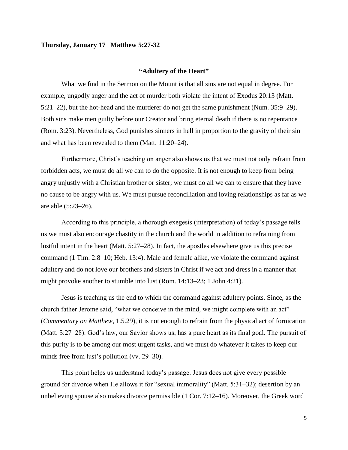#### **Thursday, January 17 | Matthew 5:27-32**

#### **"Adultery of the Heart"**

What we find in the Sermon on the Mount is that all sins are not equal in degree. For example, ungodly anger and the act of murder both violate the intent of Exodus 20:13 (Matt. 5:21–22), but the hot-head and the murderer do not get the same punishment (Num. 35:9–29). Both sins make men guilty before our Creator and bring eternal death if there is no repentance (Rom. 3:23). Nevertheless, God punishes sinners in hell in proportion to the gravity of their sin and what has been revealed to them (Matt. 11:20–24).

Furthermore, Christ's teaching on anger also shows us that we must not only refrain from forbidden acts, we must do all we can to do the opposite. It is not enough to keep from being angry unjustly with a Christian brother or sister; we must do all we can to ensure that they have no cause to be angry with us. We must pursue reconciliation and loving relationships as far as we are able (5:23–26).

According to this principle, a thorough exegesis (interpretation) of today's passage tells us we must also encourage chastity in the church and the world in addition to refraining from lustful intent in the heart (Matt. 5:27–28). In fact, the apostles elsewhere give us this precise command (1 Tim. 2:8–10; Heb. 13:4). Male and female alike, we violate the command against adultery and do not love our brothers and sisters in Christ if we act and dress in a manner that might provoke another to stumble into lust (Rom. 14:13–23; 1 John 4:21).

Jesus is teaching us the end to which the command against adultery points. Since, as the church father Jerome said, "what we conceive in the mind, we might complete with an act" (*Commentary on Matthew*, 1.5.29), it is not enough to refrain from the physical act of fornication (Matt. 5:27–28). God's law, our Savior shows us, has a pure heart as its final goal. The pursuit of this purity is to be among our most urgent tasks, and we must do whatever it takes to keep our minds free from lust's pollution (vv. 29–30).

This point helps us understand today's passage. Jesus does not give every possible ground for divorce when He allows it for "sexual immorality" (Matt. 5:31–32); desertion by an unbelieving spouse also makes divorce permissible (1 Cor. 7:12–16). Moreover, the Greek word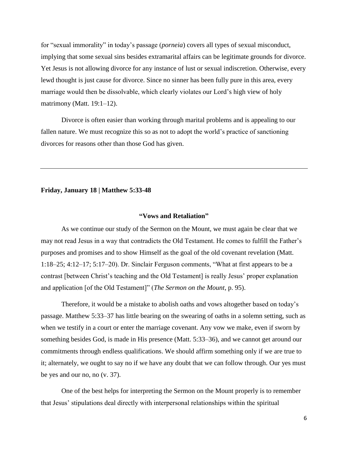for "sexual immorality" in today's passage (*porneia*) covers all types of sexual misconduct, implying that some sexual sins besides extramarital affairs can be legitimate grounds for divorce. Yet Jesus is not allowing divorce for any instance of lust or sexual indiscretion. Otherwise, every lewd thought is just cause for divorce. Since no sinner has been fully pure in this area, every marriage would then be dissolvable, which clearly violates our Lord's high view of holy matrimony (Matt. 19:1–12).

Divorce is often easier than working through marital problems and is appealing to our fallen nature. We must recognize this so as not to adopt the world's practice of sanctioning divorces for reasons other than those God has given.

#### **Friday, January 18 | Matthew 5:33-48**

#### **"Vows and Retaliation"**

As we continue our study of the Sermon on the Mount, we must again be clear that we may not read Jesus in a way that contradicts the Old Testament. He comes to fulfill the Father's purposes and promises and to show Himself as the goal of the old covenant revelation (Matt. 1:18–25; 4:12–17; 5:17–20). Dr. Sinclair Ferguson comments, "What at first appears to be a contrast [between Christ's teaching and the Old Testament] is really Jesus' proper explanation and application [of the Old Testament]" (*The Sermon on the Mount*, p. 95).

Therefore, it would be a mistake to abolish oaths and vows altogether based on today's passage. Matthew 5:33–37 has little bearing on the swearing of oaths in a solemn setting, such as when we testify in a court or enter the marriage covenant. Any vow we make, even if sworn by something besides God, is made in His presence (Matt. 5:33–36), and we cannot get around our commitments through endless qualifications. We should affirm something only if we are true to it; alternately, we ought to say no if we have any doubt that we can follow through. Our yes must be yes and our no, no (v. 37).

One of the best helps for interpreting the Sermon on the Mount properly is to remember that Jesus' stipulations deal directly with interpersonal relationships within the spiritual